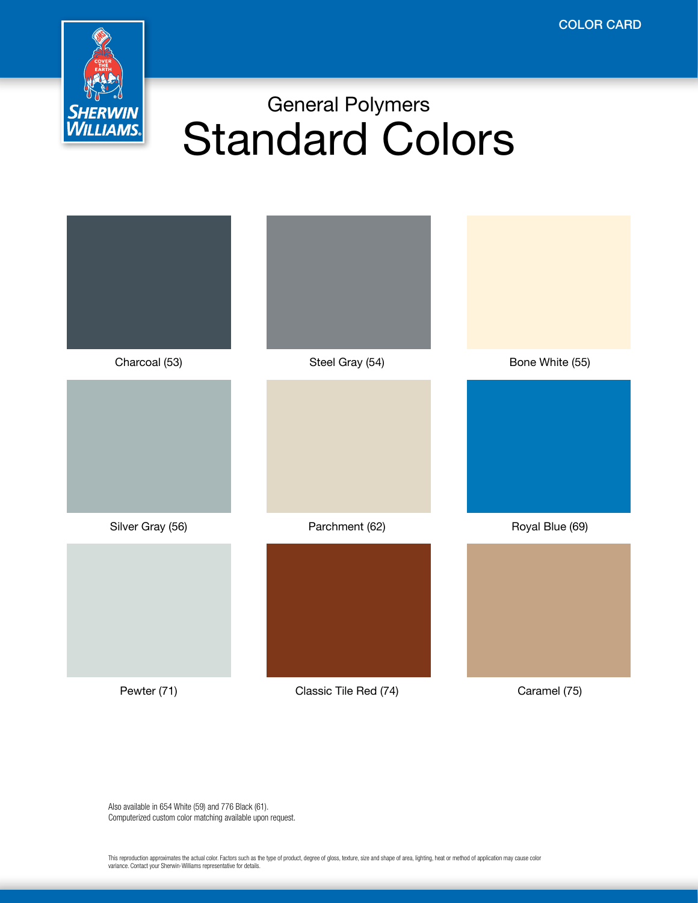

## General Polymers Standard Colors



Also available in 654 White (59) and 776 Black (61). Computerized custom color matching available upon request.